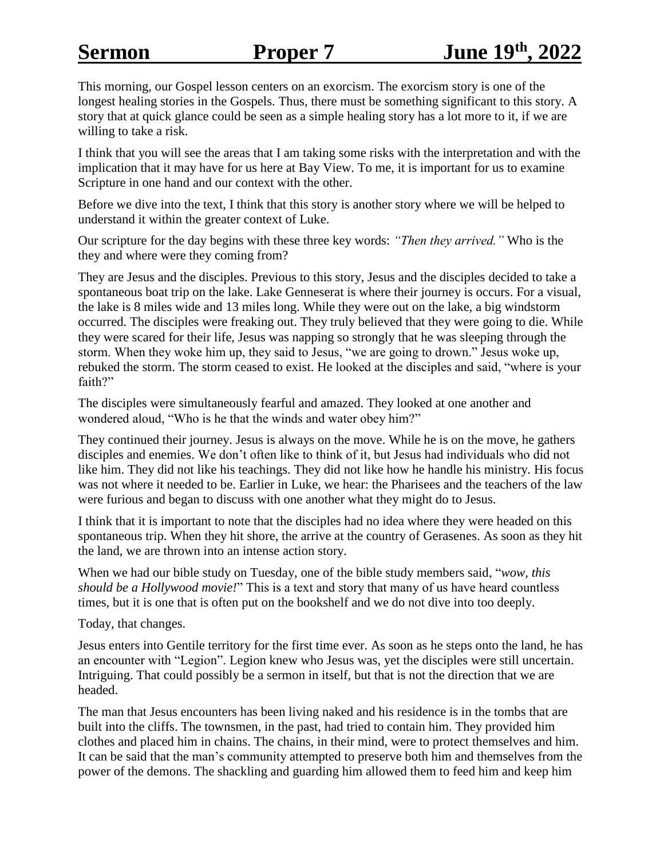This morning, our Gospel lesson centers on an exorcism. The exorcism story is one of the longest healing stories in the Gospels. Thus, there must be something significant to this story. A story that at quick glance could be seen as a simple healing story has a lot more to it, if we are willing to take a risk.

I think that you will see the areas that I am taking some risks with the interpretation and with the implication that it may have for us here at Bay View. To me, it is important for us to examine Scripture in one hand and our context with the other.

Before we dive into the text, I think that this story is another story where we will be helped to understand it within the greater context of Luke.

Our scripture for the day begins with these three key words: *"Then they arrived."* Who is the they and where were they coming from?

They are Jesus and the disciples. Previous to this story, Jesus and the disciples decided to take a spontaneous boat trip on the lake. Lake Genneserat is where their journey is occurs. For a visual, the lake is 8 miles wide and 13 miles long. While they were out on the lake, a big windstorm occurred. The disciples were freaking out. They truly believed that they were going to die. While they were scared for their life, Jesus was napping so strongly that he was sleeping through the storm. When they woke him up, they said to Jesus, "we are going to drown." Jesus woke up, rebuked the storm. The storm ceased to exist. He looked at the disciples and said, "where is your faith?"

The disciples were simultaneously fearful and amazed. They looked at one another and wondered aloud, "Who is he that the winds and water obey him?"

They continued their journey. Jesus is always on the move. While he is on the move, he gathers disciples and enemies. We don't often like to think of it, but Jesus had individuals who did not like him. They did not like his teachings. They did not like how he handle his ministry. His focus was not where it needed to be. Earlier in Luke, we hear: the Pharisees and the teachers of the law were furious and began to discuss with one another what they might do to Jesus.

I think that it is important to note that the disciples had no idea where they were headed on this spontaneous trip. When they hit shore, the arrive at the country of Gerasenes. As soon as they hit the land, we are thrown into an intense action story.

When we had our bible study on Tuesday, one of the bible study members said, "*wow, this should be a Hollywood movie!*" This is a text and story that many of us have heard countless times, but it is one that is often put on the bookshelf and we do not dive into too deeply.

Today, that changes.

Jesus enters into Gentile territory for the first time ever. As soon as he steps onto the land, he has an encounter with "Legion". Legion knew who Jesus was, yet the disciples were still uncertain. Intriguing. That could possibly be a sermon in itself, but that is not the direction that we are headed.

The man that Jesus encounters has been living naked and his residence is in the tombs that are built into the cliffs. The townsmen, in the past, had tried to contain him. They provided him clothes and placed him in chains. The chains, in their mind, were to protect themselves and him. It can be said that the man's community attempted to preserve both him and themselves from the power of the demons. The shackling and guarding him allowed them to feed him and keep him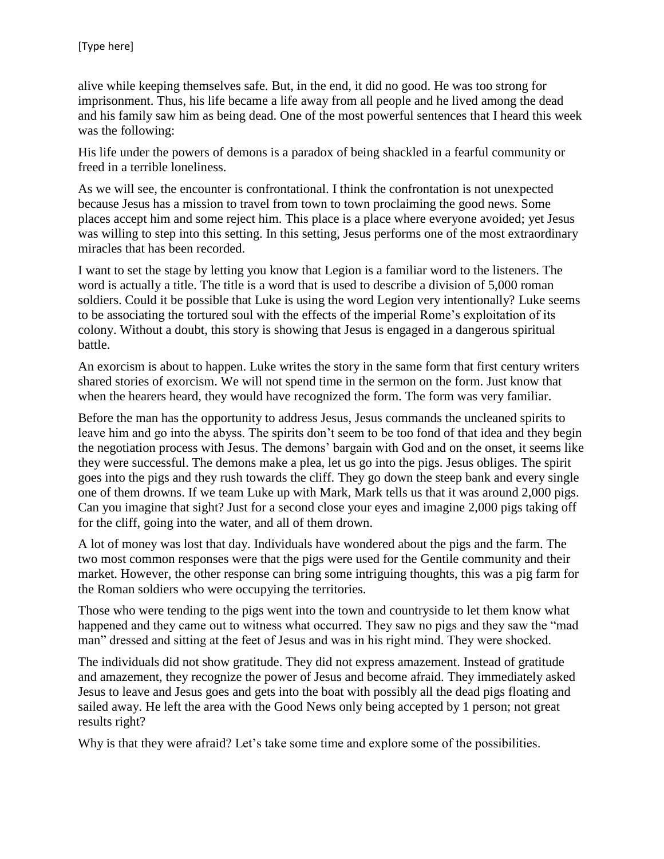alive while keeping themselves safe. But, in the end, it did no good. He was too strong for imprisonment. Thus, his life became a life away from all people and he lived among the dead and his family saw him as being dead. One of the most powerful sentences that I heard this week was the following:

His life under the powers of demons is a paradox of being shackled in a fearful community or freed in a terrible loneliness.

As we will see, the encounter is confrontational. I think the confrontation is not unexpected because Jesus has a mission to travel from town to town proclaiming the good news. Some places accept him and some reject him. This place is a place where everyone avoided; yet Jesus was willing to step into this setting. In this setting, Jesus performs one of the most extraordinary miracles that has been recorded.

I want to set the stage by letting you know that Legion is a familiar word to the listeners. The word is actually a title. The title is a word that is used to describe a division of 5,000 roman soldiers. Could it be possible that Luke is using the word Legion very intentionally? Luke seems to be associating the tortured soul with the effects of the imperial Rome's exploitation of its colony. Without a doubt, this story is showing that Jesus is engaged in a dangerous spiritual battle.

An exorcism is about to happen. Luke writes the story in the same form that first century writers shared stories of exorcism. We will not spend time in the sermon on the form. Just know that when the hearers heard, they would have recognized the form. The form was very familiar.

Before the man has the opportunity to address Jesus, Jesus commands the uncleaned spirits to leave him and go into the abyss. The spirits don't seem to be too fond of that idea and they begin the negotiation process with Jesus. The demons' bargain with God and on the onset, it seems like they were successful. The demons make a plea, let us go into the pigs. Jesus obliges. The spirit goes into the pigs and they rush towards the cliff. They go down the steep bank and every single one of them drowns. If we team Luke up with Mark, Mark tells us that it was around 2,000 pigs. Can you imagine that sight? Just for a second close your eyes and imagine 2,000 pigs taking off for the cliff, going into the water, and all of them drown.

A lot of money was lost that day. Individuals have wondered about the pigs and the farm. The two most common responses were that the pigs were used for the Gentile community and their market. However, the other response can bring some intriguing thoughts, this was a pig farm for the Roman soldiers who were occupying the territories.

Those who were tending to the pigs went into the town and countryside to let them know what happened and they came out to witness what occurred. They saw no pigs and they saw the "mad man" dressed and sitting at the feet of Jesus and was in his right mind. They were shocked.

The individuals did not show gratitude. They did not express amazement. Instead of gratitude and amazement, they recognize the power of Jesus and become afraid. They immediately asked Jesus to leave and Jesus goes and gets into the boat with possibly all the dead pigs floating and sailed away. He left the area with the Good News only being accepted by 1 person; not great results right?

Why is that they were afraid? Let's take some time and explore some of the possibilities.